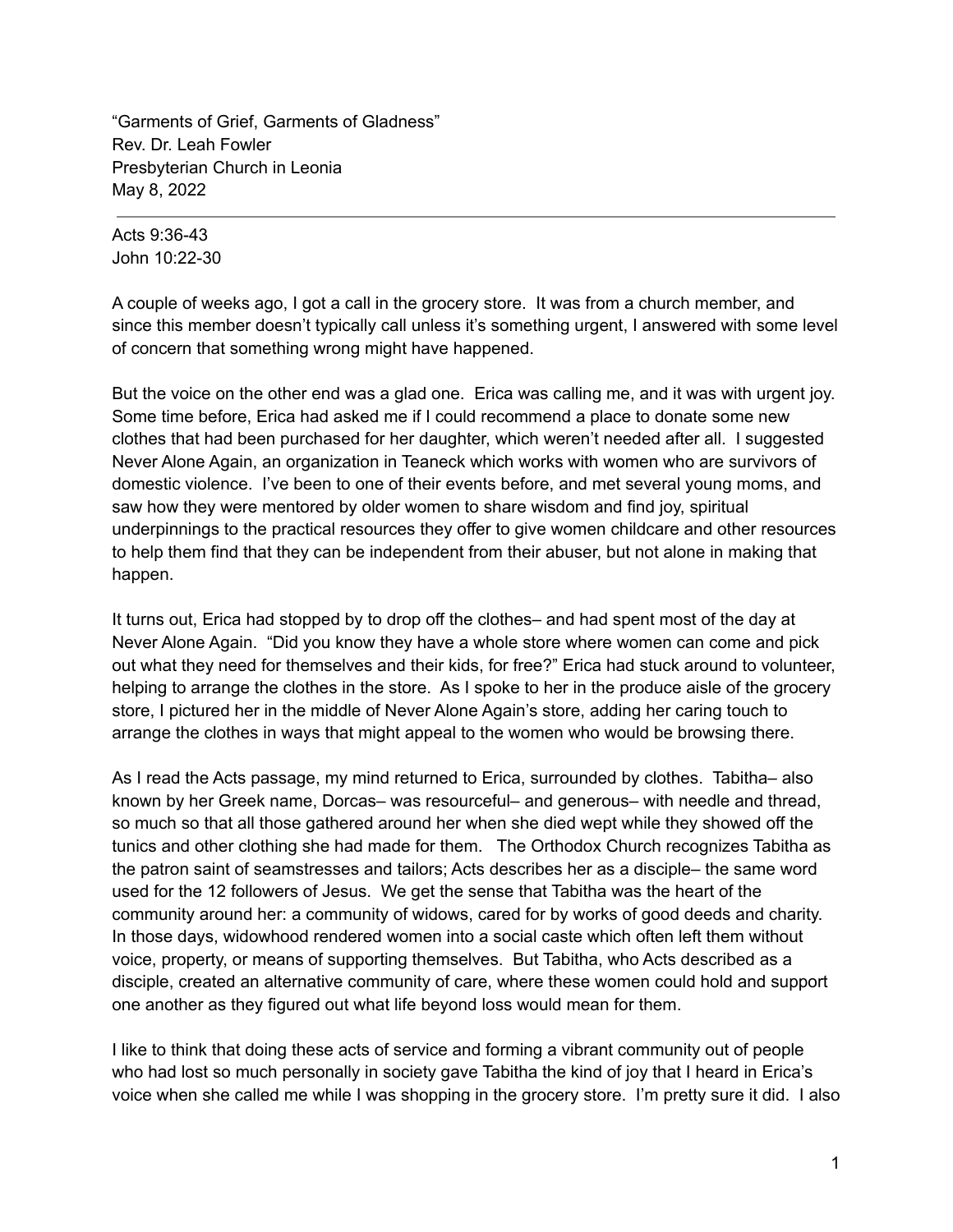"Garments of Grief, Garments of Gladness" Rev. Dr. Leah Fowler Presbyterian Church in Leonia May 8, 2022

Acts 9:36-43 John 10:22-30

A couple of weeks ago, I got a call in the grocery store. It was from a church member, and since this member doesn't typically call unless it's something urgent, I answered with some level of concern that something wrong might have happened.

But the voice on the other end was a glad one. Erica was calling me, and it was with urgent joy. Some time before, Erica had asked me if I could recommend a place to donate some new clothes that had been purchased for her daughter, which weren't needed after all. I suggested Never Alone Again, an organization in Teaneck which works with women who are survivors of domestic violence. I've been to one of their events before, and met several young moms, and saw how they were mentored by older women to share wisdom and find joy, spiritual underpinnings to the practical resources they offer to give women childcare and other resources to help them find that they can be independent from their abuser, but not alone in making that happen.

It turns out, Erica had stopped by to drop off the clothes– and had spent most of the day at Never Alone Again. "Did you know they have a whole store where women can come and pick out what they need for themselves and their kids, for free?" Erica had stuck around to volunteer, helping to arrange the clothes in the store. As I spoke to her in the produce aisle of the grocery store, I pictured her in the middle of Never Alone Again's store, adding her caring touch to arrange the clothes in ways that might appeal to the women who would be browsing there.

As I read the Acts passage, my mind returned to Erica, surrounded by clothes. Tabitha– also known by her Greek name, Dorcas– was resourceful– and generous– with needle and thread, so much so that all those gathered around her when she died wept while they showed off the tunics and other clothing she had made for them. The Orthodox Church recognizes Tabitha as the patron saint of seamstresses and tailors; Acts describes her as a disciple– the same word used for the 12 followers of Jesus. We get the sense that Tabitha was the heart of the community around her: a community of widows, cared for by works of good deeds and charity. In those days, widowhood rendered women into a social caste which often left them without voice, property, or means of supporting themselves. But Tabitha, who Acts described as a disciple, created an alternative community of care, where these women could hold and support one another as they figured out what life beyond loss would mean for them.

I like to think that doing these acts of service and forming a vibrant community out of people who had lost so much personally in society gave Tabitha the kind of joy that I heard in Erica's voice when she called me while I was shopping in the grocery store. I'm pretty sure it did. I also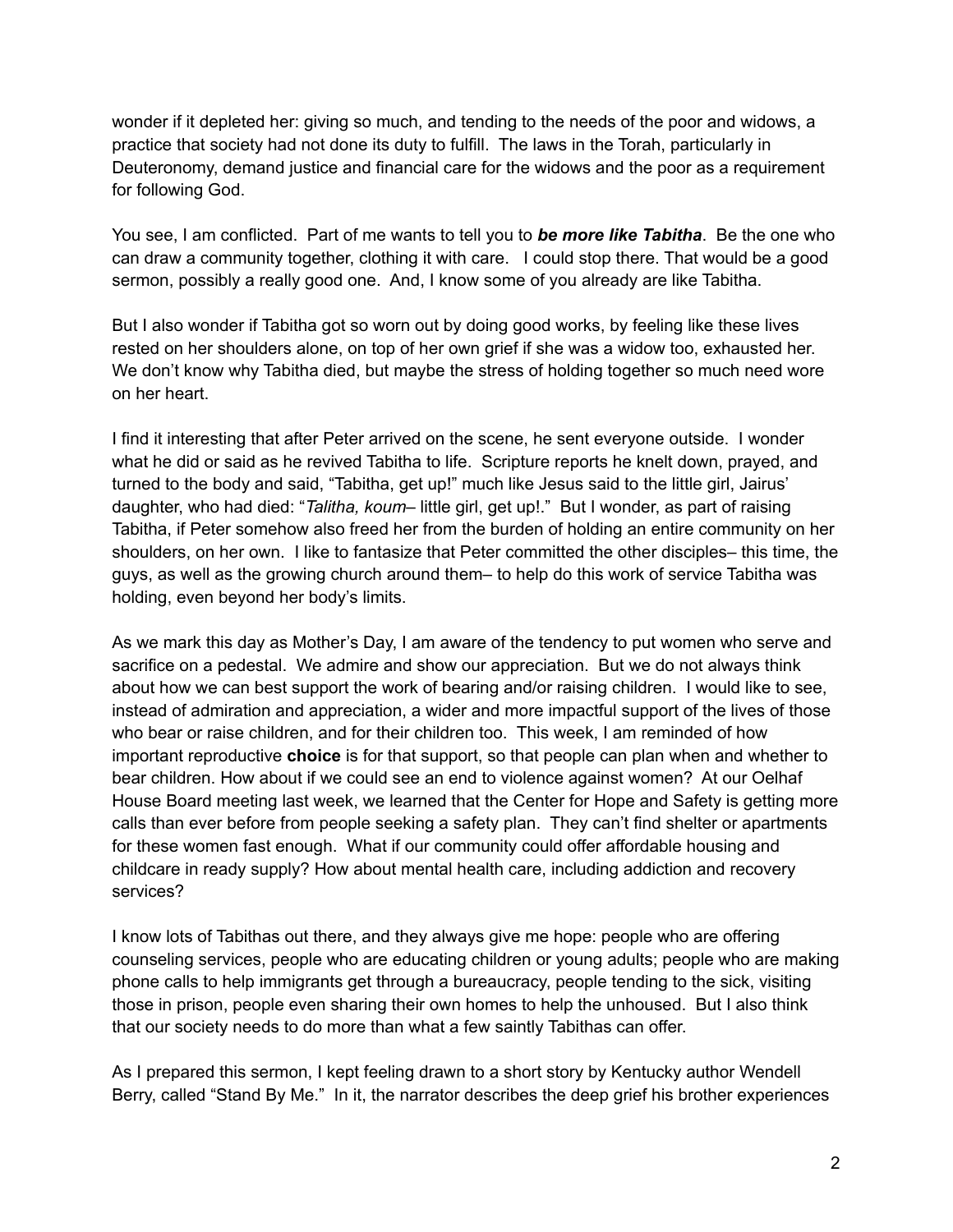wonder if it depleted her: giving so much, and tending to the needs of the poor and widows, a practice that society had not done its duty to fulfill. The laws in the Torah, particularly in Deuteronomy, demand justice and financial care for the widows and the poor as a requirement for following God.

You see, I am conflicted. Part of me wants to tell you to *be more like Tabitha*. Be the one who can draw a community together, clothing it with care. I could stop there. That would be a good sermon, possibly a really good one. And, I know some of you already are like Tabitha.

But I also wonder if Tabitha got so worn out by doing good works, by feeling like these lives rested on her shoulders alone, on top of her own grief if she was a widow too, exhausted her. We don't know why Tabitha died, but maybe the stress of holding together so much need wore on her heart.

I find it interesting that after Peter arrived on the scene, he sent everyone outside. I wonder what he did or said as he revived Tabitha to life. Scripture reports he knelt down, prayed, and turned to the body and said, "Tabitha, get up!" much like Jesus said to the little girl, Jairus' daughter, who had died: "*Talitha, koum*– little girl, get up!." But I wonder, as part of raising Tabitha, if Peter somehow also freed her from the burden of holding an entire community on her shoulders, on her own. I like to fantasize that Peter committed the other disciples– this time, the guys, as well as the growing church around them– to help do this work of service Tabitha was holding, even beyond her body's limits.

As we mark this day as Mother's Day, I am aware of the tendency to put women who serve and sacrifice on a pedestal. We admire and show our appreciation. But we do not always think about how we can best support the work of bearing and/or raising children. I would like to see, instead of admiration and appreciation, a wider and more impactful support of the lives of those who bear or raise children, and for their children too. This week, I am reminded of how important reproductive **choice** is for that support, so that people can plan when and whether to bear children. How about if we could see an end to violence against women? At our Oelhaf House Board meeting last week, we learned that the Center for Hope and Safety is getting more calls than ever before from people seeking a safety plan. They can't find shelter or apartments for these women fast enough. What if our community could offer affordable housing and childcare in ready supply? How about mental health care, including addiction and recovery services?

I know lots of Tabithas out there, and they always give me hope: people who are offering counseling services, people who are educating children or young adults; people who are making phone calls to help immigrants get through a bureaucracy, people tending to the sick, visiting those in prison, people even sharing their own homes to help the unhoused. But I also think that our society needs to do more than what a few saintly Tabithas can offer.

As I prepared this sermon, I kept feeling drawn to a short story by Kentucky author Wendell Berry, called "Stand By Me." In it, the narrator describes the deep grief his brother experiences